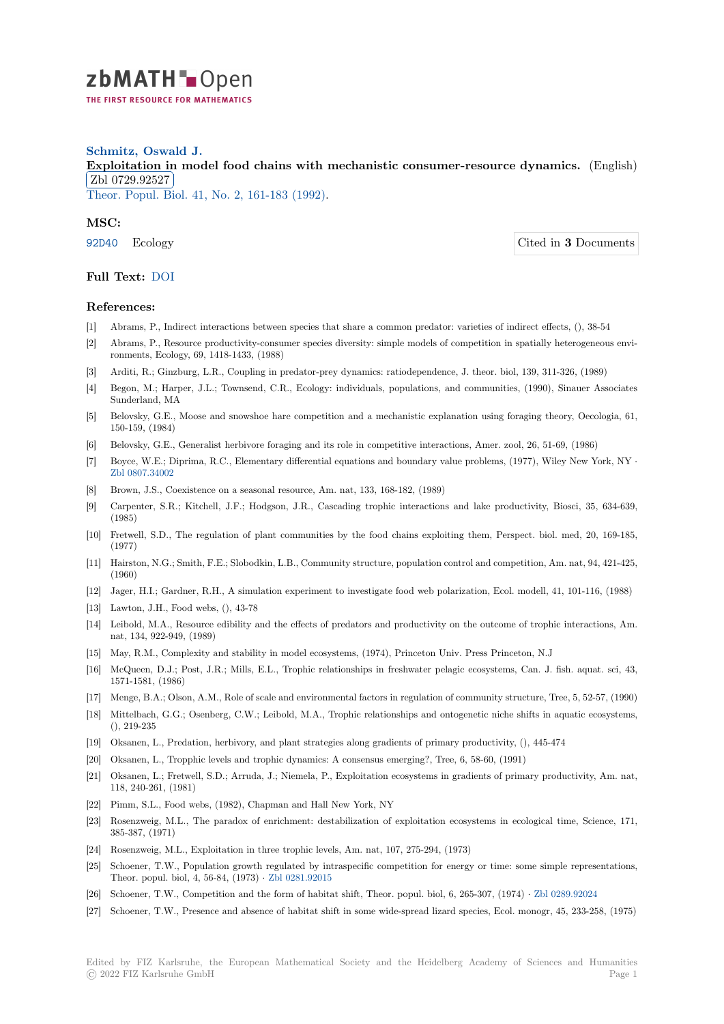

## **Schmitz, Oswald J.**

**[E](https://zbmath.org/)xploitation in model food chains with mechanistic consumer-resource dynamics.** (English) Zbl 0729.92527

**EDI 0125.52621**<br>Theor. Popul. Biol. 41, No. 2, 161-183 (1992).

## **[MSC:](https://zbmath.org/0729.92527)**

92D40 [Ecology](https://zbmath.org/0729.92527) Cited in **3** Documents

**Full Text:** DOI

## **[Refer](https://zbmath.org/classification/?q=cc:92D40)ences:**

- [1] Abrams, P., Indirect interactions between species that share a common predator: varieties of indirect effects, (), 38-54
- [2] Abrams, [P., Re](https://dx.doi.org/10.1016/0040-5809(92)90042-R)source productivity-consumer species diversity: simple models of competition in spatially heterogeneous environments, Ecology, 69, 1418-1433, (1988)
- [3] Arditi, R.; Ginzburg, L.R., Coupling in predator-prey dynamics: ratiodependence, J. theor. biol, 139, 311-326, (1989)
- [4] Begon, M.; Harper, J.L.; Townsend, C.R., Ecology: individuals, populations, and communities, (1990), Sinauer Associates Sunderland, MA
- [5] Belovsky, G.E., Moose and snowshoe hare competition and a mechanistic explanation using foraging theory, Oecologia, 61, 150-159, (1984)
- [6] Belovsky, G.E., Generalist herbivore foraging and its role in competitive interactions, Amer. zool, 26, 51-69, (1986)
- [7] Boyce, W.E.; Diprima, R.C., Elementary differential equations and boundary value problems, (1977), Wiley New York, NY *·* Zbl 0807.34002
- [8] Brown, J.S., Coexistence on a seasonal resource, Am. nat, 133, 168-182, (1989)
- [9] Carpenter, S.R.; Kitchell, J.F.; Hodgson, J.R., Cascading trophic interactions and lake productivity, Biosci, 35, 634-639, (1985)
- [10] [Fretwell, S.D.,](https://zbmath.org/0807.34002) The regulation of plant communities by the food chains exploiting them, Perspect. biol. med, 20, 169-185, (1977)
- [11] Hairston, N.G.; Smith, F.E.; Slobodkin, L.B., Community structure, population control and competition, Am. nat, 94, 421-425, (1960)
- [12] Jager, H.I.; Gardner, R.H., A simulation experiment to investigate food web polarization, Ecol. modell, 41, 101-116, (1988)
- [13] Lawton, J.H., Food webs, (), 43-78
- [14] Leibold, M.A., Resource edibility and the effects of predators and productivity on the outcome of trophic interactions, Am. nat, 134, 922-949, (1989)
- [15] May, R.M., Complexity and stability in model ecosystems, (1974), Princeton Univ. Press Princeton, N.J
- [16] McQueen, D.J.; Post, J.R.; Mills, E.L., Trophic relationships in freshwater pelagic ecosystems, Can. J. fish. aquat. sci, 43, 1571-1581, (1986)
- [17] Menge, B.A.; Olson, A.M., Role of scale and environmental factors in regulation of community structure, Tree, 5, 52-57, (1990)
- [18] Mittelbach, G.G.; Osenberg, C.W.; Leibold, M.A., Trophic relationships and ontogenetic niche shifts in aquatic ecosystems, (), 219-235
- [19] Oksanen, L., Predation, herbivory, and plant strategies along gradients of primary productivity, (), 445-474
- [20] Oksanen, L., Tropphic levels and trophic dynamics: A consensus emerging?, Tree, 6, 58-60, (1991)
- [21] Oksanen, L.; Fretwell, S.D.; Arruda, J.; Niemela, P., Exploitation ecosystems in gradients of primary productivity, Am. nat, 118, 240-261, (1981)
- [22] Pimm, S.L., Food webs, (1982), Chapman and Hall New York, NY
- [23] Rosenzweig, M.L., The paradox of enrichment: destabilization of exploitation ecosystems in ecological time, Science, 171, 385-387, (1971)
- [24] Rosenzweig, M.L., Exploitation in three trophic levels, Am. nat, 107, 275-294, (1973)
- [25] Schoener, T.W., Population growth regulated by intraspecific competition for energy or time: some simple representations, Theor. popul. biol, 4, 56-84, (1973) *·* Zbl 0281.92015
- [26] Schoener, T.W., Competition and the form of habitat shift, Theor. popul. biol, 6, 265-307, (1974) *·* Zbl 0289.92024
- [27] Schoener, T.W., Presence and absence of habitat shift in some wide-spread lizard species, Ecol. monogr, 45, 233-258, (1975)